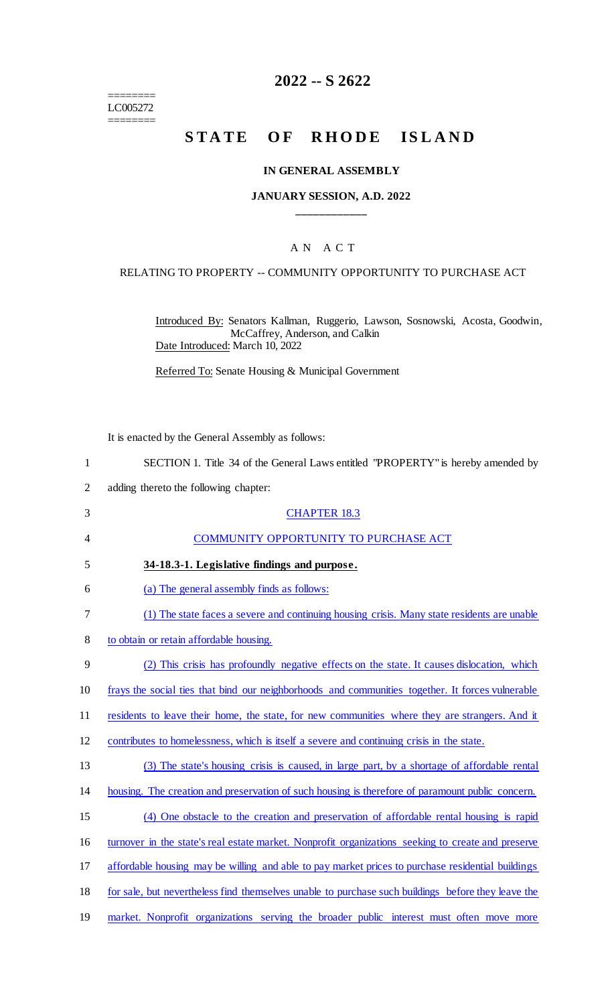======== LC005272 ========

## **2022 -- S 2622**

# STATE OF RHODE ISLAND

#### **IN GENERAL ASSEMBLY**

### **JANUARY SESSION, A.D. 2022 \_\_\_\_\_\_\_\_\_\_\_\_**

### A N A C T

#### RELATING TO PROPERTY -- COMMUNITY OPPORTUNITY TO PURCHASE ACT

Introduced By: Senators Kallman, Ruggerio, Lawson, Sosnowski, Acosta, Goodwin, McCaffrey, Anderson, and Calkin Date Introduced: March 10, 2022

Referred To: Senate Housing & Municipal Government

| It is enacted by the General Assembly as follows:                                                  |
|----------------------------------------------------------------------------------------------------|
| SECTION 1. Title 34 of the General Laws entitled "PROPERTY" is hereby amended by                   |
| adding thereto the following chapter:                                                              |
| <b>CHAPTER 18.3</b>                                                                                |
| COMMUNITY OPPORTUNITY TO PURCHASE ACT                                                              |
| 34-18.3-1. Legislative findings and purpose.                                                       |
| (a) The general assembly finds as follows:                                                         |
| (1) The state faces a severe and continuing housing crisis. Many state residents are unable        |
| to obtain or retain affordable housing.                                                            |
| (2) This crisis has profoundly negative effects on the state. It causes dislocation, which         |
| frays the social ties that bind our neighborhoods and communities together. It forces vulnerable   |
| residents to leave their home, the state, for new communities where they are strangers. And it     |
| contributes to homelessness, which is itself a severe and continuing crisis in the state.          |
| (3) The state's housing crisis is caused, in large part, by a shortage of affordable rental        |
| housing. The creation and preservation of such housing is therefore of paramount public concern.   |
| (4) One obstacle to the creation and preservation of affordable rental housing is rapid            |
| turnover in the state's real estate market. Nonprofit organizations seeking to create and preserve |
| affordable housing may be willing and able to pay market prices to purchase residential buildings  |
| for sale, but nevertheless find themselves unable to purchase such buildings before they leave the |
| market. Nonprofit organizations serving the broader public interest must often move more           |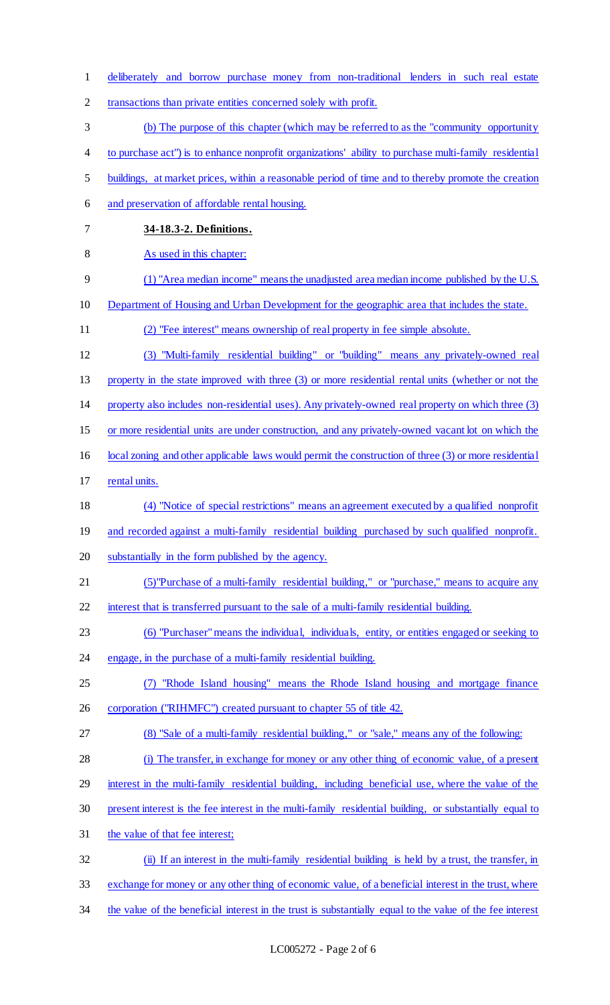| $\mathbf{1}$   | deliberately and borrow purchase money from non-traditional lenders in such real estate                   |
|----------------|-----------------------------------------------------------------------------------------------------------|
| $\overline{2}$ | transactions than private entities concerned solely with profit.                                          |
| 3              | (b) The purpose of this chapter (which may be referred to as the "community opportunity"                  |
| $\overline{4}$ | to purchase act") is to enhance nonprofit organizations' ability to purchase multi-family residential     |
| 5              | buildings, at market prices, within a reasonable period of time and to thereby promote the creation       |
| 6              | and preservation of affordable rental housing.                                                            |
| 7              | 34-18.3-2. Definitions.                                                                                   |
| 8              | As used in this chapter:                                                                                  |
| 9              | (1) "Area median income" means the unadjusted area median income published by the U.S.                    |
| 10             | Department of Housing and Urban Development for the geographic area that includes the state.              |
| 11             | (2) "Fee interest" means ownership of real property in fee simple absolute.                               |
| 12             | (3) "Multi-family residential building" or "building" means any privately-owned real                      |
| 13             | property in the state improved with three (3) or more residential rental units (whether or not the        |
| 14             | property also includes non-residential uses). Any privately-owned real property on which three (3)        |
| 15             | or more residential units are under construction, and any privately-owned vacant lot on which the         |
| 16             | local zoning and other applicable laws would permit the construction of three (3) or more residential     |
| 17             | rental units.                                                                                             |
| 18             | (4) "Notice of special restrictions" means an agreement executed by a qualified nonprofit                 |
| 19             | and recorded against a multi-family residential building purchased by such qualified nonprofit.           |
| 20             | substantially in the form published by the agency.                                                        |
| 21             | (5) "Purchase of a multi-family residential building," or "purchase," means to acquire any                |
| 22             | interest that is transferred pursuant to the sale of a multi-family residential building.                 |
| 23             | (6) "Purchaser" means the individual, individuals, entity, or entities engaged or seeking to              |
| 24             | engage, in the purchase of a multi-family residential building.                                           |
| 25             | "Rhode Island housing" means the Rhode Island housing and mortgage finance<br>(7)                         |
| 26             | corporation ("RIHMFC") created pursuant to chapter 55 of title 42.                                        |
| 27             | (8) "Sale of a multi-family residential building," or "sale," means any of the following:                 |
| 28             | (i) The transfer, in exchange for money or any other thing of economic value, of a present                |
| 29             | interest in the multi-family residential building, including beneficial use, where the value of the       |
| 30             | present interest is the fee interest in the multi-family residential building, or substantially equal to  |
| 31             | the value of that fee interest;                                                                           |
| 32             | (ii) If an interest in the multi-family residential building is held by a trust, the transfer, in         |
| 33             | exchange for money or any other thing of economic value, of a beneficial interest in the trust, where     |
| 34             | the value of the beneficial interest in the trust is substantially equal to the value of the fee interest |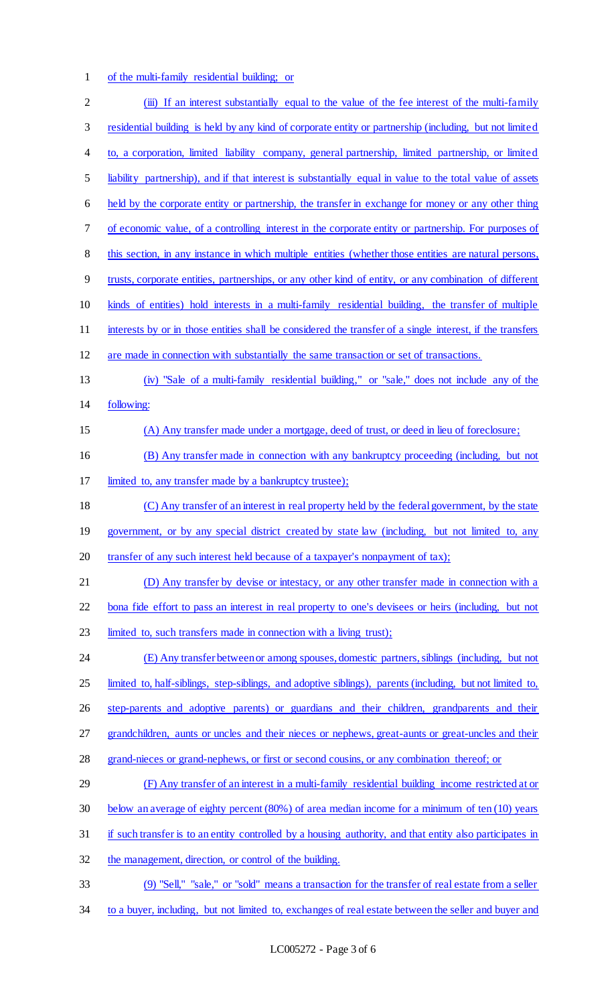of the multi-family residential building; or

| $\overline{2}$ | (iii) If an interest substantially equal to the value of the fee interest of the multi-family             |
|----------------|-----------------------------------------------------------------------------------------------------------|
| 3              | residential building is held by any kind of corporate entity or partnership (including, but not limited   |
| 4              | to, a corporation, limited liability company, general partnership, limited partnership, or limited        |
| 5              | liability partnership), and if that interest is substantially equal in value to the total value of assets |
| 6              | held by the corporate entity or partnership, the transfer in exchange for money or any other thing        |
| $\tau$         | of economic value, of a controlling interest in the corporate entity or partnership. For purposes of      |
| 8              | this section, in any instance in which multiple entities (whether those entities are natural persons,     |
| 9              | trusts, corporate entities, partnerships, or any other kind of entity, or any combination of different    |
| 10             | kinds of entities) hold interests in a multi-family residential building, the transfer of multiple        |
| 11             | interests by or in those entities shall be considered the transfer of a single interest, if the transfers |
| 12             | are made in connection with substantially the same transaction or set of transactions.                    |
| 13             | (iv) "Sale of a multi-family residential building," or "sale," does not include any of the                |
| 14             | following:                                                                                                |
| 15             | (A) Any transfer made under a mortgage, deed of trust, or deed in lieu of foreclosure;                    |
| 16             | (B) Any transfer made in connection with any bankruptcy proceeding (including, but not                    |
| 17             | limited to, any transfer made by a bankruptcy trustee);                                                   |
| 18             | (C) Any transfer of an interest in real property held by the federal government, by the state             |
| 19             | government, or by any special district created by state law (including, but not limited to, any           |
| 20             | transfer of any such interest held because of a taxpayer's nonpayment of tax);                            |
| 21             | (D) Any transfer by devise or intestacy, or any other transfer made in connection with a                  |
| 22             | bona fide effort to pass an interest in real property to one's devisees or heirs (including, but not      |
| 23             | limited to, such transfers made in connection with a living trust);                                       |
| 24             | (E) Any transfer between or among spouses, domestic partners, siblings (including, but not                |
| 25             | limited to, half-siblings, step-siblings, and adoptive siblings), parents (including, but not limited to, |
| 26             | step-parents and adoptive parents) or guardians and their children, grandparents and their                |
| 27             | grandchildren, aunts or uncles and their nieces or nephews, great-aunts or great-uncles and their         |
| 28             | grand-nieces or grand-nephews, or first or second cousins, or any combination thereof; or                 |
| 29             | (F) Any transfer of an interest in a multi-family residential building income restricted at or            |
| 30             | below an average of eighty percent (80%) of area median income for a minimum of ten (10) years            |
| 31             | if such transfer is to an entity controlled by a housing authority, and that entity also participates in  |
| 32             | the management, direction, or control of the building.                                                    |
| 33             | (9) "Sell," "sale," or "sold" means a transaction for the transfer of real estate from a seller           |
| 34             | to a buyer, including, but not limited to, exchanges of real estate between the seller and buyer and      |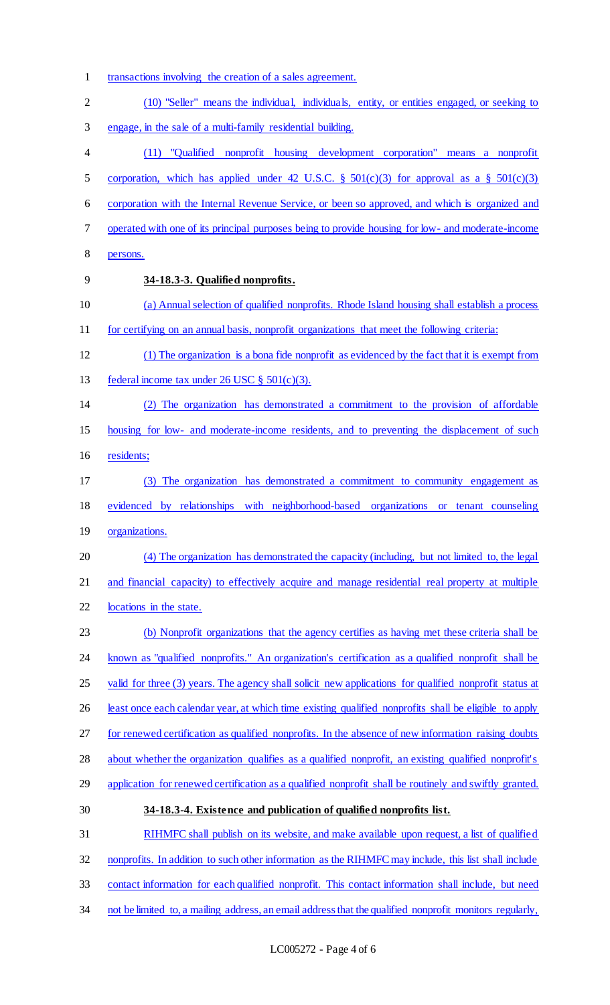- transactions involving the creation of a sales agreement.
- (10) "Seller" means the individual, individuals, entity, or entities engaged, or seeking to engage, in the sale of a multi-family residential building. (11) "Qualified nonprofit housing development corporation" means a nonprofit 5 corporation, which has applied under 42 U.S.C.  $\S$  501(c)(3) for approval as a  $\S$  501(c)(3) corporation with the Internal Revenue Service, or been so approved, and which is organized and operated with one of its principal purposes being to provide housing for low- and moderate-income persons. **34-18.3-3. Qualified nonprofits.**  (a) Annual selection of qualified nonprofits. Rhode Island housing shall establish a process for certifying on an annual basis, nonprofit organizations that meet the following criteria: (1) The organization is a bona fide nonprofit as evidenced by the fact that it is exempt from 13 federal income tax under 26 USC  $\S$  501(c)(3). (2) The organization has demonstrated a commitment to the provision of affordable housing for low- and moderate-income residents, and to preventing the displacement of such residents; (3) The organization has demonstrated a commitment to community engagement as evidenced by relationships with neighborhood-based organizations or tenant counseling organizations. (4) The organization has demonstrated the capacity (including, but not limited to, the legal and financial capacity) to effectively acquire and manage residential real property at multiple locations in the state. (b) Nonprofit organizations that the agency certifies as having met these criteria shall be known as "qualified nonprofits." An organization's certification as a qualified nonprofit shall be 25 valid for three (3) years. The agency shall solicit new applications for qualified nonprofit status at 26 least once each calendar year, at which time existing qualified nonprofits shall be eligible to apply for renewed certification as qualified nonprofits. In the absence of new information raising doubts 28 about whether the organization qualifies as a qualified nonprofit, an existing qualified nonprofit's 29 application for renewed certification as a qualified nonprofit shall be routinely and swiftly granted. **34-18.3-4. Existence and publication of qualified nonprofits list.**  RIHMFC shall publish on its website, and make available upon request, a list of qualified nonprofits. In addition to such other information as the RIHMFC may include, this list shall include contact information for each qualified nonprofit. This contact information shall include, but need
- 34 not be limited to, a mailing address, an email address that the qualified nonprofit monitors regularly,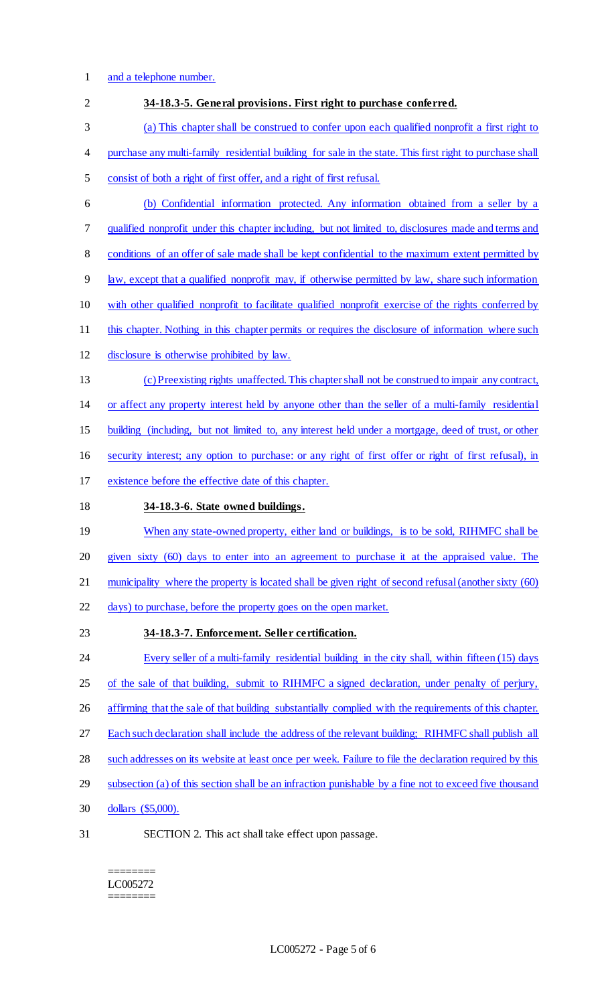### 1 and a telephone number.

| $\overline{2}$ | 34-18.3-5. General provisions. First right to purchase conferred.                                        |
|----------------|----------------------------------------------------------------------------------------------------------|
| 3              | (a) This chapter shall be construed to confer upon each qualified nonprofit a first right to             |
| 4              | purchase any multi-family residential building for sale in the state. This first right to purchase shall |
| 5              | consist of both a right of first offer, and a right of first refusal.                                    |
| 6              | (b) Confidential information protected. Any information obtained from a seller by a                      |
| 7              | qualified nonprofit under this chapter including, but not limited to, disclosures made and terms and     |
| 8              | conditions of an offer of sale made shall be kept confidential to the maximum extent permitted by        |
| 9              | law, except that a qualified nonprofit may, if otherwise permitted by law, share such information        |
| 10             | with other qualified nonprofit to facilitate qualified nonprofit exercise of the rights conferred by     |
| 11             | this chapter. Nothing in this chapter permits or requires the disclosure of information where such       |
| 12             | disclosure is otherwise prohibited by law.                                                               |
| 13             | (c) Preexisting rights unaffected. This chapter shall not be construed to impair any contract,           |
| 14             | or affect any property interest held by anyone other than the seller of a multi-family residential       |
| 15             | building (including, but not limited to, any interest held under a mortgage, deed of trust, or other     |
| 16             | security interest; any option to purchase: or any right of first offer or right of first refusal), in    |
| 17             | existence before the effective date of this chapter.                                                     |
| 18             | 34-18.3-6. State owned buildings.                                                                        |
| 19             | When any state-owned property, either land or buildings, is to be sold, RIHMFC shall be                  |
| 20             | given sixty (60) days to enter into an agreement to purchase it at the appraised value. The              |
| 21             | municipality where the property is located shall be given right of second refusal (another sixty (60)    |
| 22             | days) to purchase, before the property goes on the open market.                                          |
| 23             | 34-18.3-7. Enforcement. Seller certification.                                                            |
| 24             | Every seller of a multi-family residential building in the city shall, within fifteen (15) days          |
| 25             | of the sale of that building, submit to RIHMFC a signed declaration, under penalty of perjury,           |
| 26             | affirming that the sale of that building substantially complied with the requirements of this chapter.   |
| 27             | Each such declaration shall include the address of the relevant building; RIHMFC shall publish all       |
| 28             | such addresses on its website at least once per week. Failure to file the declaration required by this   |
| 29             | subsection (a) of this section shall be an infraction punishable by a fine not to exceed five thousand   |
| 30             | dollars (\$5,000).                                                                                       |
| 31             | SECTION 2. This act shall take effect upon passage.                                                      |
|                |                                                                                                          |

 $\begin{array}{cccccc} \multicolumn{2}{c}{{\color{blue}\boldsymbol{1}}} & \multicolumn{2}{c}{{\color{blue}\boldsymbol{1}}} & \multicolumn{2}{c}{{\color{blue}\boldsymbol{1}}} & \multicolumn{2}{c}{{\color{blue}\boldsymbol{1}}} & \multicolumn{2}{c}{{\color{blue}\boldsymbol{1}}} & \multicolumn{2}{c}{{\color{blue}\boldsymbol{1}}} & \multicolumn{2}{c}{{\color{blue}\boldsymbol{1}}} & \multicolumn{2}{c}{{\color{blue}\boldsymbol{1}}} & \multicolumn{2}{c}{{\color{blue}\boldsymbol{1}}} & \multicolumn{2}{c}{{\color{blue}\boldsymbol{1}}} & \mult$ LC005272  $=$